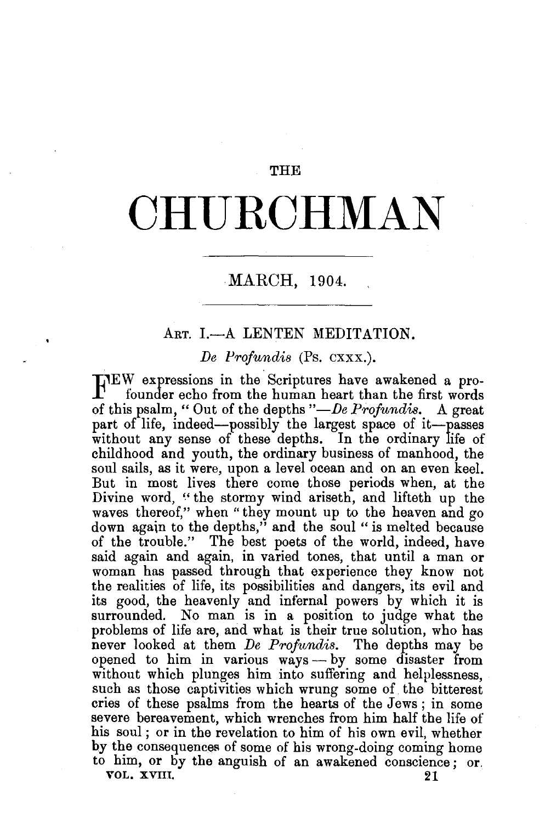## THE

## **OHU.ROHMAN**

## MARCH, 1904.

## ART. I.-A LENTEN MEDITATION.

*De Profundis* (Ps. cxxx.).

J.EW expressions in the Scriptures have awakened a profounder echo from the human heart than the first words of this psalm, "Out of the depths *"-De Profundis.* A great part of life, indeed—possibly the largest space of it—passes without any sense of these depths. In the ordinary life of childhood and youth, the ordinary business of manhood, the soul sails, as it were, upon a level ocean and on an even keel. But in most lives there come those periods when, at the Divine word, "the stormy wind ariseth, and lifteth up the waves thereof," when "they mount up to the heaven and go down again to the depths," and the soul "is melted because of the trouble." The best poets of the world, indeed, have said again and again, in varied tones, that until a man or woman has passed through that experience they know not the realities of life, its possibilities and dangers, its evil and its good, the heavenly and infernal powers by which it is surrounded. No man is in a position to judge what the problems of life are, and what is their true solution, who has never looked at them *De Profundis.* The depths may be opened to him in various ways — by some disaster from without which plunges him into suffering and helplessness. such as those captivities which wrung some of the bitterest cries of these psalms from the hearts of the Jews ; in some severe bereavement, which wrenches from him half the life of his soul; or in the revelation to him of his own evil, whether by the consequences of some of his wrong-doing coming home to him, or by the anguish of an awakened conscience ; or. VOL. XVIII. 21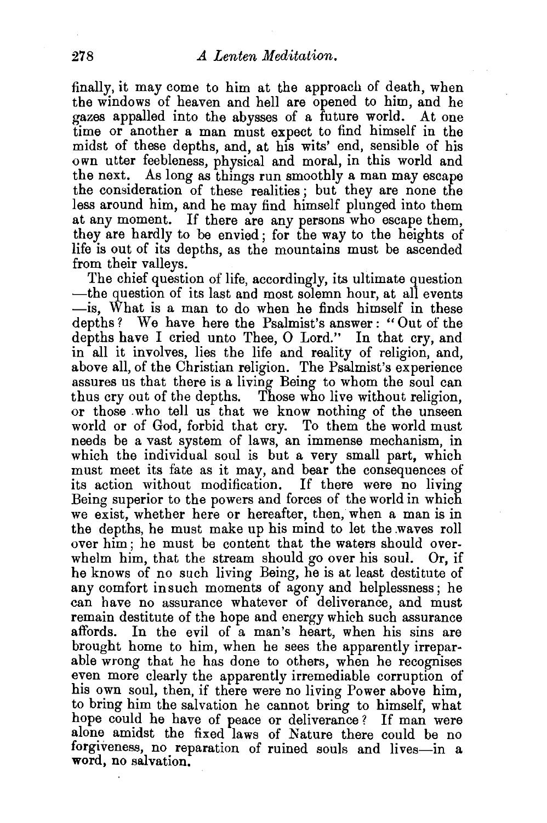finally, it may come to him at the approach of death, when the windows of heaven and hell are opened to him, and he gazes appalled into the abysses of a future world. At one time or another a man must expect to find himself in the midst of these depths, and, at his wits' end, sensible of his own utter feebleness, physical and moral, in this world and the next. As long as things run smoothly a man may escape the consideration of these realities ; but they are none the less around him, and he may find himself plunged into them at any moment. If there are any persons who escape them, they are hardly to be envied; for the way to the heights of life is out of its depths, as the mountains must be ascended from their valleys.

The chief question of life, accordingly, its ultimate question —the question of its last and most solemn hour, at all events -is, What is a man to do when he finds himself in these depths? We have here the Psalmist's answer: "Out of the depths have I cried unto Thee, O Lord." In that cry, and in all it involves, lies the life and reality of religion, and, above all, of the Christian religion. The Psalmist's experience assures us that there is a living Being to whom the soul can thus cry out of the depths. Those who live without religion, or those who tell us that we know nothing of the unseen world or of God, forbid that cry. To them the world must needs be a vast system of laws, an immense mechanism, in which the individual soul is but a very small part, which must meet its fate as it may, and bear the consequences of its action without modification. If there were no living Being superior to the powers and forces of the world in which we exist, whether here or hereafter, then, when a man is in the depths, he must make up his mind to let the .waves roll over him; he must be content that the waters should overwhelm him, that the stream should go over his soul. Or, if he knows of no such living Being, he is at least destitute of any comfort in such moments of agony and helplessness; he can have no assurance whatever of deliverance, and must remain destitute of the hope and energy which such assurance affords. In the evil of a man's heart, when his sins are brought home to him, when he sees the apparently irreparable wrong that he has done to others, when he recognises even more clearly the apparently irremediable corruption of his own soul, then, if there were no living Power above him, to bring him the salvation he cannot bring to himself, what hope could he have of peace or deliverance ? If man were alone amidst the fixed laws of Nature there could be no forgiveness, no reparation of ruined souls and lives-in a word, no salvation.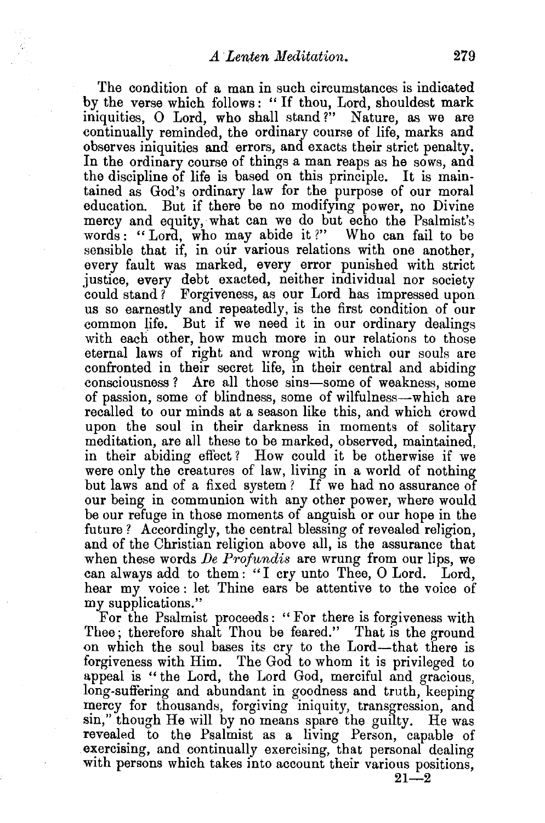The condition of a man in such circumstances is indicated by the verse which follows : " If thou, Lord, shouldest mark iniquities, O Lord, who shall stand?" Nature, as we are continually reminded, the ordinary course of life, marks and observes iniquities and errors, and exacts their strict penalty. In the ordinary course of things a man reaps as he sows, and the discipline of life is based on this principle. It is maintained as God's ordinary law for the purpose of our moral education. But if there be no modifying power, no Divine mercy and equity, what can we do but echo the Psalmist's words : " Lord, who may abide it ?" Who can fail to be sensible that if, in our various relations with one another, every fault was marked, every error punished with strict justice, every debt exacted, neither individual nor society could stand? Forgiveness, as our Lord has impressed upon us so earnestly and repeatedly, is the first condition of our common life. But if we need it in our ordinary dealings with each other, how much more in our relations to those eternal laws of right and wrong with which our souls are confronted in their secret life, in their central and abiding consciousness ? Are all those sins-some of weakness, some of passion, some of blindness, some of wilfulness-which are recalled to our minds at a season like this, and which crowd upon the soul in their darkness in moments of solitary meditation, are all these to be marked, observed, maintained, in their abiding effect ? How could it be otherwise if we were only the creatures of law, living in a world of nothing but laws and of a fixed system? If we had no assurance of our being in communion with any other power, where would be our refuge in those moments of anguish or our hope in the future? Accordingly, the central blessing of revealed religion. and of the Christian religion above all, is the assurance that when these words *De Profundis* are wrung from our lips, we can always add to them: "I cry unto Thee, 0 Lord. Lord, hear my voice : let Thine ears be attentive to the voice of my supplications."

For the Psalmist proceeds: " For there is forgiveness with Thee; therefore shalt Thou be feared." That is the ground on which the soul bases its cry to the Lord-that there is forgiveness with Him. The God to whom it is privileged to appeal is "the Lord, the Lord God, merciful and gracious, long-suffering and abundant in goodness and truth, keeping mercy for thousands, forgiving iniquity, transgression, and sin," though He will by no means spare the guilty. He was revealed to the Psalmist as a living Person, capable of exercising, and continually exercising, that personal dealing with persons which takes into account their various positions,

 $21 - 2$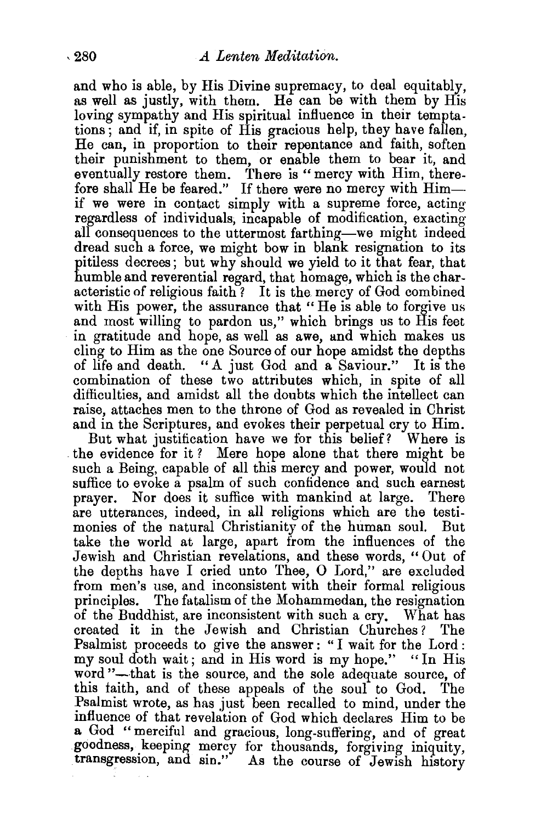and who is able, by His Divine supremacy, to deal equitably, as well as justly, with them. He can be with them by His loving sympathy and His spiritual influence in their temptations; and if, in spite of His gracious help, they have fallen, He can, in proportion to their repentance and faith, soften their punishment to them, or enable them to bear it, and eventually restore them. There is "mercy with Him, therefore shall He be feared." If there were no mercy with Himif we were in contact simply with a supreme force, acting regardless of individuals; incapable of modification, exacting all consequences to the uttermost farthing-we might indeed dread such a force, we might bow in blank resignation to its pitiless decrees; but why should we yield to it that fear, that humble and reverential regard, that homage, which is the characteristic of religious faith ? It is the mercy of God combined with His power, the assurance that "He is able to forgive us and most willing to pardon us," which brings us to His feet in gratitude and hope, as well as awe, and which makes us cling to Him as the one Source of our hope amidst the depths of life and death. "A just God and a Saviour." It is the combination of these two attributes which, in spite of all difficulties, and amidst all the doubts which the intellect can raise, attaches men to the throne of God as revealed in Christ and in the Scriptures, and evokes their perpetual cry to Him.

But what justification have we for this belief? Where is the evidence for it? Mere hope alone that there might be such a Being, capable of all this mercy and power, would not suffice to evoke a psalm of such confidence and such earnest prayer. Nor does it suffice with mankind at large. There are utterances, indeed, in all religions which are the testimonies of the natural Christianity of the human soul. But take the world at large, apart from the influences of the Jewish and Christian revelations, and these words, "Out of the depths have I cried unto Thee, 0 Lord," are excluded from men's use, and inconsistent with their formal religious principles. The fatalism of the Mohammedan, the resignation of the Buddhist, are inconsistent with such a cry. What has created it in the Jewish and Christian Uhurches? The Psalmist proceeds to give the answer: "I wait for the Lord: my soul doth wait; and in His word is my hope." "In His word "-that is the source, and the sole adequate source, of this faith, and of these appeals of the soul to God. The Psalmist wrote, as has just been recalled to mind, under the mfluence of that revelation of God which declares Him to be a God "merciful and gracious, long-suffering, and of great goodness, keeping mercy for thousands, forgiving iniquity, transgression, and sin." As the course of Jewish history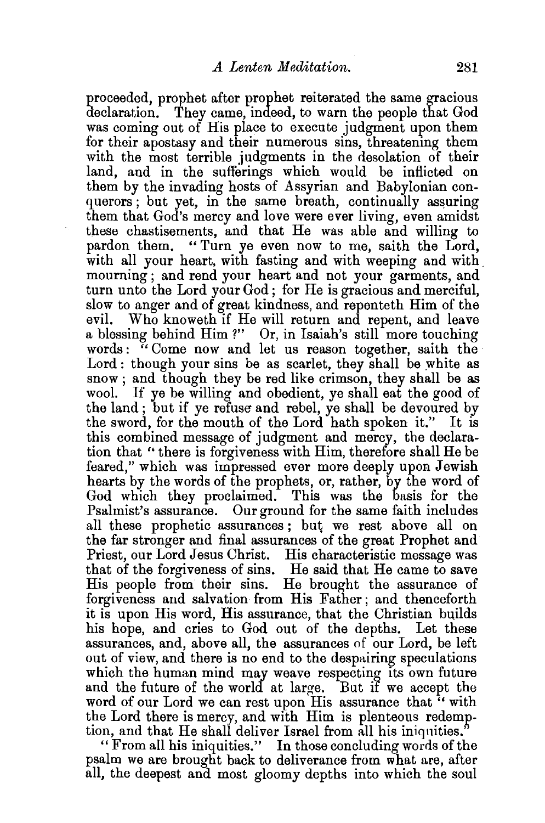proceeded, prophet after prophet reiterated the same gracious declaration. They came, indeed, to warn the people that God was coming out of His place to execute judgment upon them for their apostasy and their numerous sins, threatening them with the most terrible judgments in the desolation of their land, and in the sufferings which would be inflicted on them by the invading hosts of Assyrian and Babylonian conquerors; but yet, in the same breath, continually assuring them that God's mercy and love were ever living, even amidst these chastisements, and that He was able and willing to pardon them. " Turn ye even now to me, saith the Lord, with all your heart, with fasting and with weeping and with mourning ; and rend your heart and not your garments, and turn unto the Lord your God; for He is gracious and merciful, slow to anger and of great kindness, and repenteth Him of the evil. Who knoweth if He will return and repent, and leave a blessing behind Him ?" Or, in Isaiah's still more touching words: "Come now and let us reason together, saith the Lord: though your sins be as scarlet, they shall be white as snow ; and though they be red like crimson, they shall be as wool. If ye be willing and obedient, ye shall eat the good of the land ; but if ye refuse and rebel, ye shall be devoured by the sword, for the mouth of the Lord hath spoken it." It is this combined message of judgment and mercy, the declaration that " there is forgiveness with Him, therefore shall He be feared," which was impressed ever more deeply upon Jewish hearts by the words of the prophets, or, rather, by the word of God which they proclaimed. This was the basis for the Psalmist's assurance. Our ground for the same faith includes all these prophetic assurances; but we rest above all on the far stronger and final assurances of the great Prophet and Priest, our Lord Jesus Christ. His characteristic message was that of the forgiveness of sins. He said that He came to save His people from their sins. He brought the assurance of forgiveness and salvation from His Father; and thenceforth it is upon His word, His assurance, that the Christian builds his hope, and cries to God out of the depths. Let these assurances, and, above all, the assurances of our Lord, be left out of view, and there is no end to the despairing speculations which the human mind may weave respecting its own future and the future of the world at large. But if we accept the word of our Lord we can rest upon His assurance that "with the Lord there is mercy, and with Him is plenteous redemption, and that He shall deliver Israel from all his iniqnities."

"From all his iniquities." In those concluding words of the psalm we are brought back to deliverance from what are, after all, the deepest and most gloomy depths into which the soul